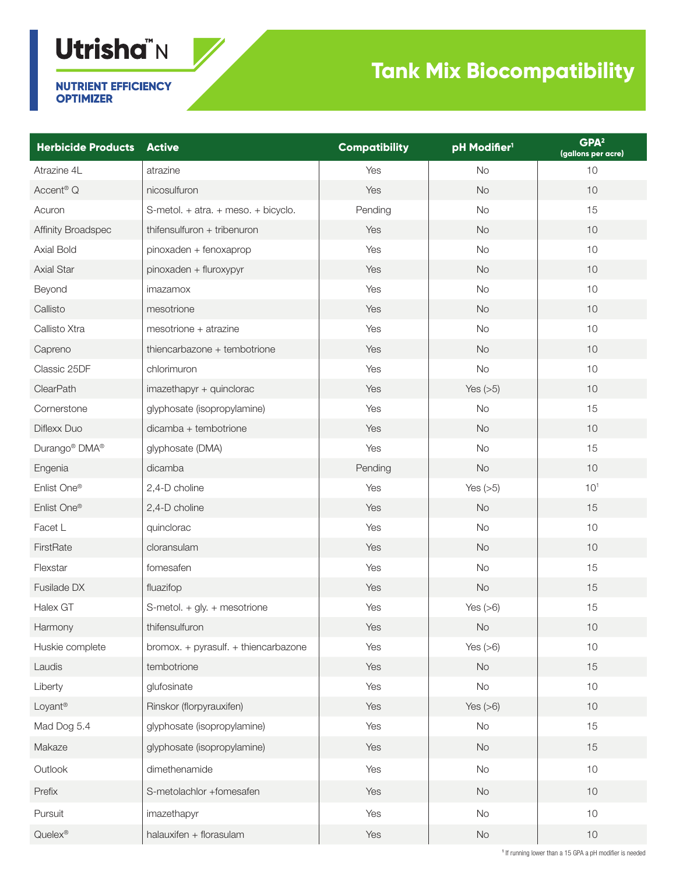## **Utrisha"N**

## **Tank Mix Biocompatibility**

**NUTRIENT EFFICIENCY OPTIMIZER** 

| <b>Herbicide Products Active</b>      |                                      | <b>Compatibility</b> | pH Modifier <sup>1</sup> | GPA <sup>2</sup><br>(gallons per acre) |
|---------------------------------------|--------------------------------------|----------------------|--------------------------|----------------------------------------|
| Atrazine 4L                           | atrazine                             | Yes                  | <b>No</b>                | 10                                     |
| Accent <sup>®</sup> Q                 | nicosulfuron                         | Yes                  | No                       | 10                                     |
| Acuron                                | S-metol. + atra. + meso. + bicyclo.  | Pending              | <b>No</b>                | 15                                     |
| Affinity Broadspec                    | thifensulfuron + tribenuron          | Yes                  | No                       | 10                                     |
| Axial Bold                            | pinoxaden + fenoxaprop               | Yes                  | <b>No</b>                | 10                                     |
| <b>Axial Star</b>                     | pinoxaden + fluroxypyr               | Yes                  | No                       | 10                                     |
| Beyond                                | imazamox                             | Yes                  | <b>No</b>                | 10                                     |
| Callisto                              | mesotrione                           | Yes                  | No                       | 10                                     |
| Callisto Xtra                         | mesotrione + atrazine                | Yes                  | <b>No</b>                | 10                                     |
| Capreno                               | thiencarbazone + tembotrione         | Yes                  | No                       | 10                                     |
| Classic 25DF                          | chlorimuron                          | Yes                  | No                       | 10                                     |
| ClearPath                             | imazethapyr + quinclorac             | Yes                  | Yes $(>5)$               | 10                                     |
| Cornerstone                           | glyphosate (isopropylamine)          | Yes                  | <b>No</b>                | 15                                     |
| Diflexx Duo                           | dicamba + tembotrione                | Yes                  | No                       | 10                                     |
| Durango <sup>®</sup> DMA <sup>®</sup> | glyphosate (DMA)                     | Yes                  | No                       | 15                                     |
| Engenia                               | dicamba                              | Pending              | No                       | 10                                     |
| Enlist One®                           | 2,4-D choline                        | Yes                  | Yes $(>5)$               | 10 <sup>1</sup>                        |
| Enlist One®                           | 2,4-D choline                        | Yes                  | No                       | 15                                     |
| Facet L                               | quinclorac                           | Yes                  | No                       | $10$                                   |
| FirstRate                             | cloransulam                          | Yes                  | No                       | 10                                     |
| Flexstar                              | fomesafen                            | Yes                  | No                       | 15                                     |
| Fusilade DX                           | fluazifop                            | Yes                  | No                       | 15                                     |
| Halex GT                              | S-metol. + gly. + mesotrione         | Yes                  | Yes $(>6)$               | 15                                     |
| Harmony                               | thifensulfuron                       | Yes                  | <b>No</b>                | 10                                     |
| Huskie complete                       | bromox. + pyrasulf. + thiencarbazone | Yes                  | Yes $(>6)$               | $10$                                   |
| Laudis                                | tembotrione                          | Yes                  | No                       | 15                                     |
| Liberty                               | glufosinate                          | Yes                  | No                       | $10$                                   |
| Loyant®                               | Rinskor (florpyrauxifen)             | Yes                  | Yes $(>6)$               | 10                                     |
| Mad Dog 5.4                           | glyphosate (isopropylamine)          | Yes                  | No                       | 15                                     |
| Makaze                                | glyphosate (isopropylamine)          | Yes                  | No                       | 15                                     |
| Outlook                               | dimethenamide                        | Yes                  | No                       | $10$                                   |
| Prefix                                | S-metolachlor +fomesafen             | Yes                  | No                       | 10                                     |
| Pursuit                               | imazethapyr                          | Yes                  | No                       | $10$                                   |
| Quelex®                               | halauxifen + florasulam              | Yes                  | No                       | 10                                     |